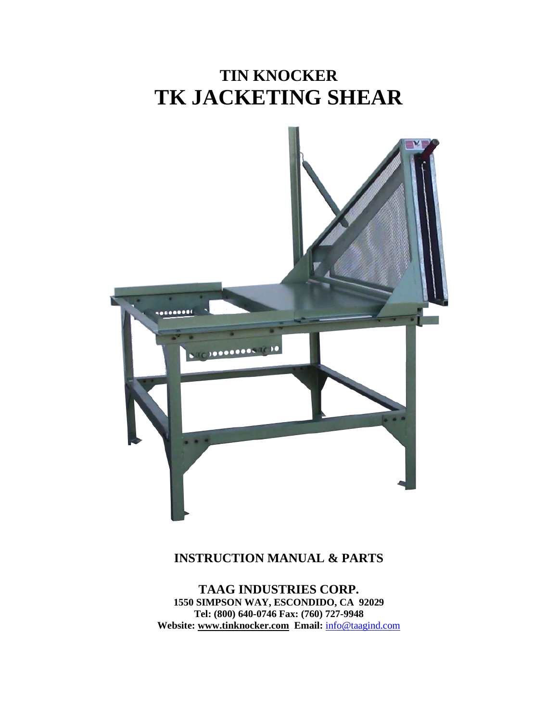# **TIN KNOCKER TK JACKETING SHEAR**



## **INSTRUCTION MANUAL & PARTS**

**TAAG INDUSTRIES CORP. 1550 SIMPSON WAY, ESCONDIDO, CA 92029 Tel: (800) 640-0746 Fax: (760) 727-9948 Website: [www.tinknocker.com](http://www.tinknocker.com/) Email:** [info@taagind.com](mailto:info@taagind.com)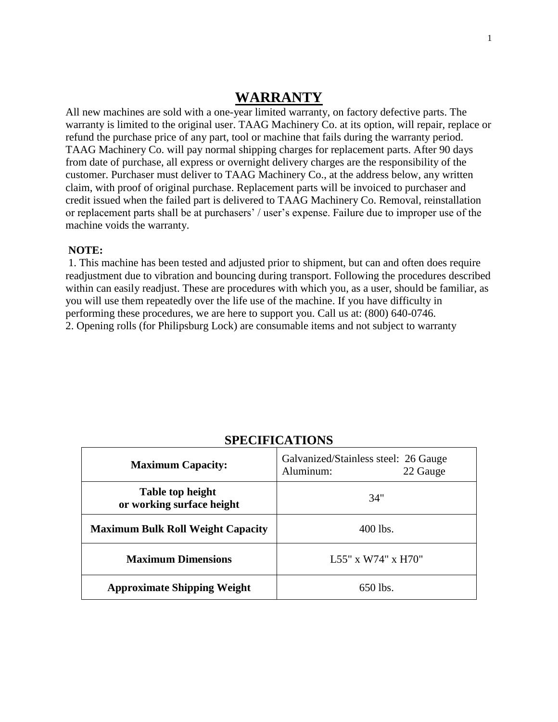## **WARRANTY**

All new machines are sold with a one-year limited warranty, on factory defective parts. The warranty is limited to the original user. TAAG Machinery Co. at its option, will repair, replace or refund the purchase price of any part, tool or machine that fails during the warranty period. TAAG Machinery Co. will pay normal shipping charges for replacement parts. After 90 days from date of purchase, all express or overnight delivery charges are the responsibility of the customer. Purchaser must deliver to TAAG Machinery Co., at the address below, any written claim, with proof of original purchase. Replacement parts will be invoiced to purchaser and credit issued when the failed part is delivered to TAAG Machinery Co. Removal, reinstallation or replacement parts shall be at purchasers' / user's expense. Failure due to improper use of the machine voids the warranty.

#### **NOTE:**

1. This machine has been tested and adjusted prior to shipment, but can and often does require readjustment due to vibration and bouncing during transport. Following the procedures described within can easily readjust. These are procedures with which you, as a user, should be familiar, as you will use them repeatedly over the life use of the machine. If you have difficulty in performing these procedures, we are here to support you. Call us at: (800) 640-0746. 2. Opening rolls (for Philipsburg Lock) are consumable items and not subject to warranty

| <b>Maximum Capacity:</b>                      | Galvanized/Stainless steel: 26 Gauge<br>Aluminum:<br>22 Gauge |
|-----------------------------------------------|---------------------------------------------------------------|
| Table top height<br>or working surface height | 34"                                                           |
| <b>Maximum Bulk Roll Weight Capacity</b>      | $400$ lbs.                                                    |
| <b>Maximum Dimensions</b>                     | L55" x W74" x H70"                                            |
| <b>Approximate Shipping Weight</b>            | $650$ lbs.                                                    |

## **SPECIFICATIONS**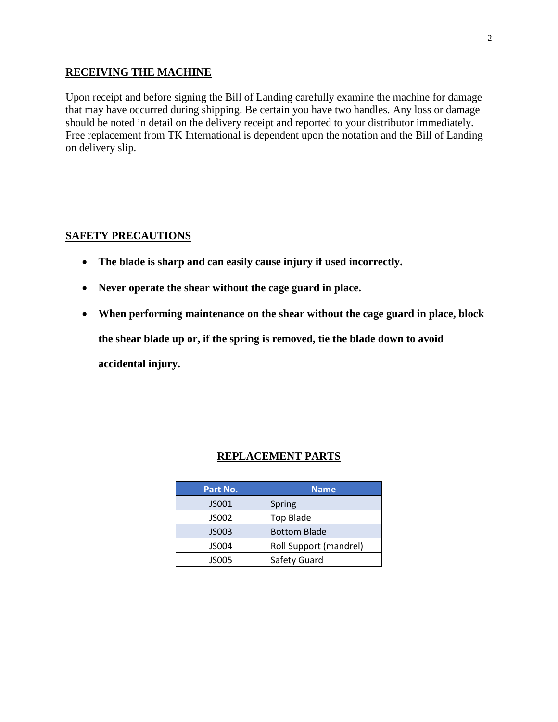#### **RECEIVING THE MACHINE**

Upon receipt and before signing the Bill of Landing carefully examine the machine for damage that may have occurred during shipping. Be certain you have two handles. Any loss or damage should be noted in detail on the delivery receipt and reported to your distributor immediately. Free replacement from TK International is dependent upon the notation and the Bill of Landing on delivery slip.

## **SAFETY PRECAUTIONS**

- **The blade is sharp and can easily cause injury if used incorrectly.**
- **Never operate the shear without the cage guard in place.**
- **When performing maintenance on the shear without the cage guard in place, block the shear blade up or, if the spring is removed, tie the blade down to avoid accidental injury.**

## **REPLACEMENT PARTS**

| Part No. | <b>Name</b>            |
|----------|------------------------|
| JS001    | Spring                 |
| JS002    | <b>Top Blade</b>       |
| JS003    | <b>Bottom Blade</b>    |
| JS004    | Roll Support (mandrel) |
| JS005    | Safety Guard           |